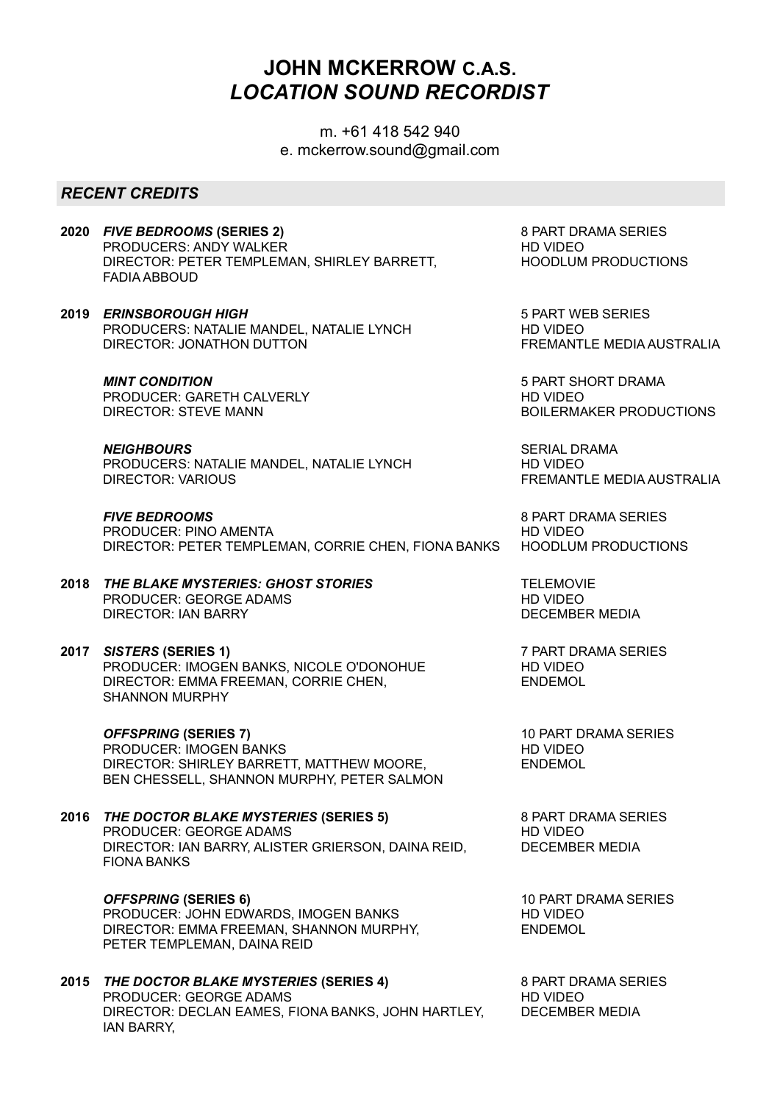# JOHN MCKERROW C.A.S. LOCATION SOUND RECORDIST

m. +61 418 542 940 e. mckerrow.sound@gmail.com

## RECENT CREDITS

- 2020 FIVE BEDROOMS (SERIES 2) PRODUCERS: ANDY WALKER DIRECTOR: PETER TEMPLEMAN, SHIRLEY BARRETT, FADIA ABBOUD
- 2019 ERINSBOROUGH HIGH PRODUCERS: NATALIE MANDEL, NATALIE LYNCH DIRECTOR: JONATHON DUTTON

#### MINT CONDITION

PRODUCER: GARETH CALVERLY DIRECTOR: STEVE MANN

#### **NEIGHBOURS**

PRODUCERS: NATALIE MANDEL, NATALIE LYNCH DIRECTOR: VARIOUS

FIVE BEDROOMS PRODUCER: PINO AMENTA DIRECTOR: PETER TEMPLEMAN, CORRIE CHEN, FIONA BANKS

### 2018 THE BLAKE MYSTERIES: GHOST STORIES PRODUCER: GEORGE ADAMS DIRECTOR: IAN BARRY

#### 2017 SISTERS (SERIES 1) PRODUCER: IMOGEN BANKS, NICOLE O'DONOHUE DIRECTOR: EMMA FREEMAN, CORRIE CHEN, SHANNON MURPHY

OFFSPRING (SERIES 7) PRODUCER: IMOGEN BANKS DIRECTOR: SHIRLEY BARRETT, MATTHEW MOORE, BEN CHESSELL, SHANNON MURPHY, PETER SALMON

2016 THE DOCTOR BLAKE MYSTERIES (SERIES 5) PRODUCER: GEORGE ADAMS DIRECTOR: IAN BARRY, ALISTER GRIERSON, DAINA REID, FIONA BANKS

> OFFSPRING (SERIES 6) PRODUCER: JOHN EDWARDS, IMOGEN BANKS DIRECTOR: EMMA FREEMAN, SHANNON MURPHY, PETER TEMPLEMAN, DAINA REID

2015 THE DOCTOR BLAKE MYSTERIES (SERIES 4) PRODUCER: GEORGE ADAMS DIRECTOR: DECLAN EAMES, FIONA BANKS, JOHN HARTLEY, IAN BARRY,

8 PART DRAMA SERIES HD VIDEO HOODLUM PRODUCTIONS

5 PART WEB SERIES HD VIDEO FREMANTLE MEDIA AUSTRALIA

5 PART SHORT DRAMA HD VIDEO BOILERMAKER PRODUCTIONS

SERIAL DRAMA HD VIDEO FREMANTLE MEDIA AUSTRALIA

8 PART DRAMA SERIES HD VIDEO HOODLUM PRODUCTIONS

**TELEMOVIE** HD VIDEO DECEMBER MEDIA

7 PART DRAMA SERIES HD VIDEO ENDEMOL

10 PART DRAMA SERIES HD VIDEO ENDEMOL

8 PART DRAMA SERIES HD VIDEO DECEMBER MEDIA

10 PART DRAMA SERIES HD VIDEO ENDEMOL

8 PART DRAMA SERIES HD VIDEO DECEMBER MEDIA